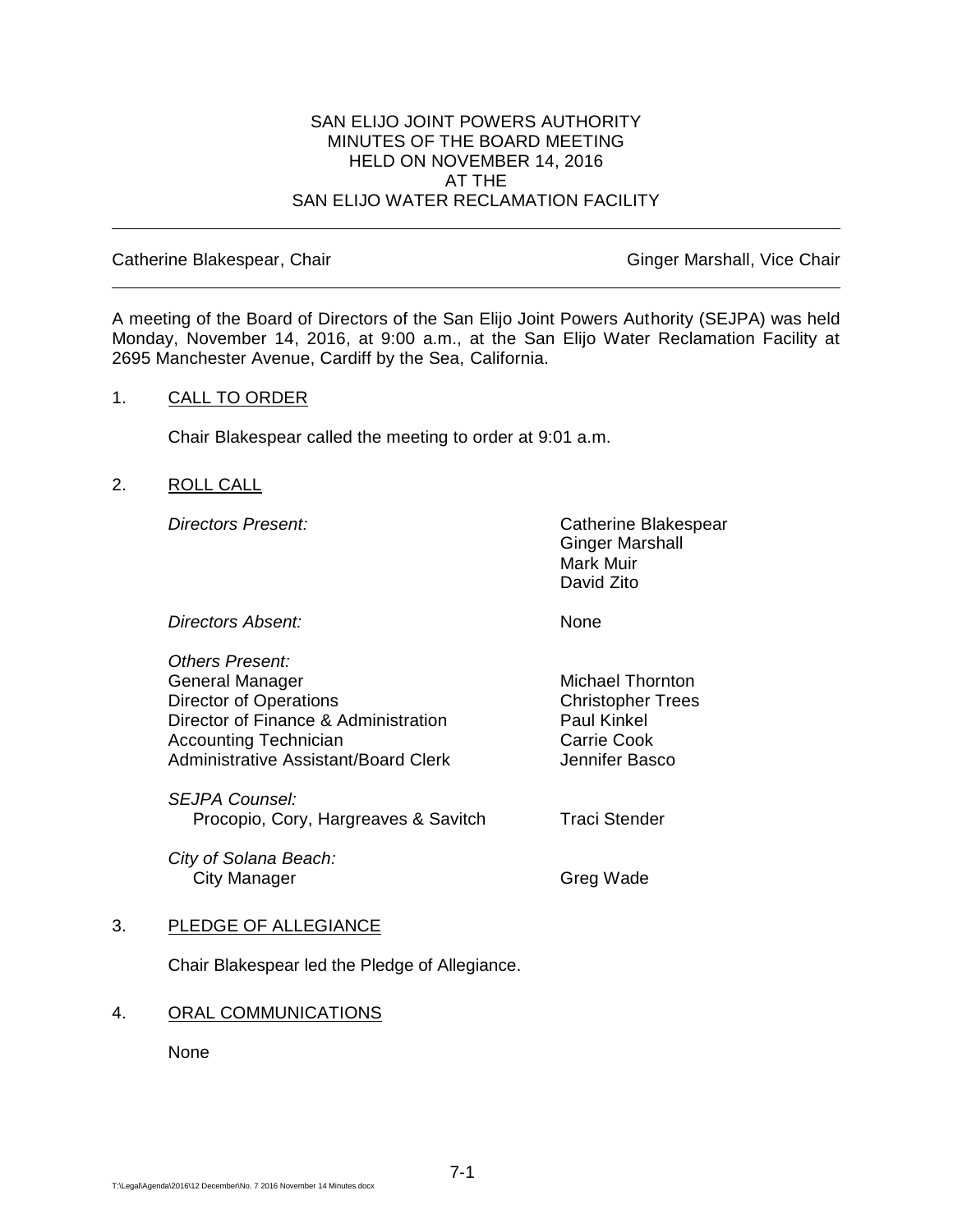#### SAN ELIJO JOINT POWERS AUTHORITY MINUTES OF THE BOARD MEETING HELD ON NOVEMBER 14, 2016 AT THE SAN ELIJO WATER RECLAMATION FACILITY

Catherine Blakespear, Chair Ginger Marshall, Vice Chair Ginger Marshall, Vice Chair

A meeting of the Board of Directors of the San Elijo Joint Powers Authority (SEJPA) was held Monday, November 14, 2016, at 9:00 a.m., at the San Elijo Water Reclamation Facility at 2695 Manchester Avenue, Cardiff by the Sea, California.

#### 1. CALL TO ORDER

Chair Blakespear called the meeting to order at 9:01 a.m.

## 2. ROLL CALL

*Directors Present:* Catherine Blakespear Ginger Marshall Mark Muir David Zito

*Directors Absent:* None

*Others Present:* General Manager Michael Thornton Director of Operations Christopher Trees Director of Finance & Administration Paul Kinkel Accounting Technician **Carrie Cook** Carrie Cook Administrative Assistant/Board Clerk **Jennifer Basco** 

*SEJPA Counsel:* Procopio, Cory, Hargreaves & Savitch Traci Stender

*City of Solana Beach:* City Manager **Greg Wade** 

#### 3. PLEDGE OF ALLEGIANCE

Chair Blakespear led the Pledge of Allegiance.

#### 4. ORAL COMMUNICATIONS

None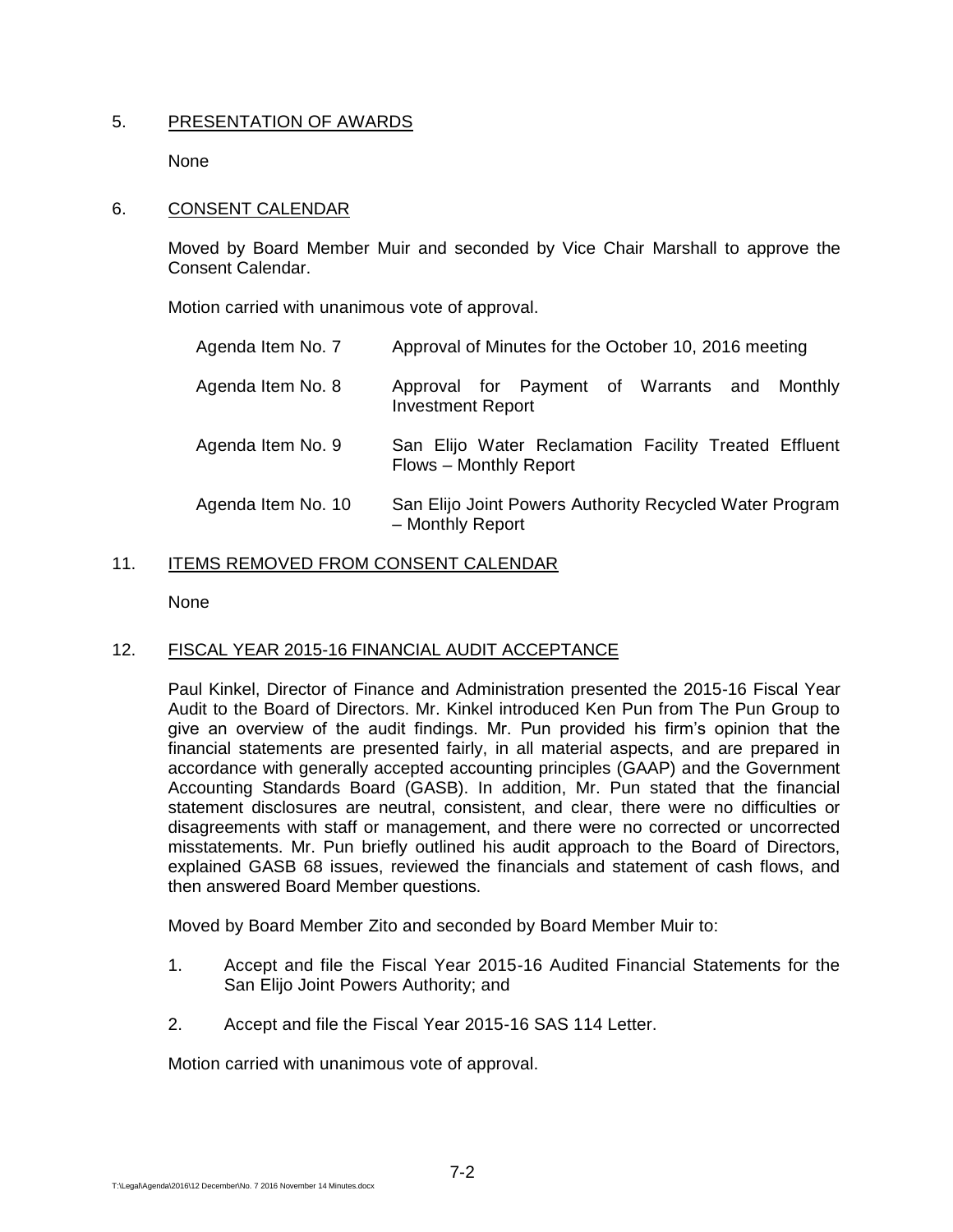## 5. PRESENTATION OF AWARDS

None

### 6. CONSENT CALENDAR

Moved by Board Member Muir and seconded by Vice Chair Marshall to approve the Consent Calendar.

Motion carried with unanimous vote of approval.

| Agenda Item No. 7  | Approval of Minutes for the October 10, 2016 meeting                            |
|--------------------|---------------------------------------------------------------------------------|
| Agenda Item No. 8  | Approval for Payment of Warrants and Monthly<br><b>Investment Report</b>        |
| Agenda Item No. 9  | San Elijo Water Reclamation Facility Treated Effluent<br>Flows - Monthly Report |
| Agenda Item No. 10 | San Elijo Joint Powers Authority Recycled Water Program<br>- Monthly Report     |

## 11. ITEMS REMOVED FROM CONSENT CALENDAR

None

## 12. FISCAL YEAR 2015-16 FINANCIAL AUDIT ACCEPTANCE

Paul Kinkel, Director of Finance and Administration presented the 2015-16 Fiscal Year Audit to the Board of Directors. Mr. Kinkel introduced Ken Pun from The Pun Group to give an overview of the audit findings. Mr. Pun provided his firm's opinion that the financial statements are presented fairly, in all material aspects, and are prepared in accordance with generally accepted accounting principles (GAAP) and the Government Accounting Standards Board (GASB). In addition, Mr. Pun stated that the financial statement disclosures are neutral, consistent, and clear, there were no difficulties or disagreements with staff or management, and there were no corrected or uncorrected misstatements. Mr. Pun briefly outlined his audit approach to the Board of Directors, explained GASB 68 issues, reviewed the financials and statement of cash flows, and then answered Board Member questions.

Moved by Board Member Zito and seconded by Board Member Muir to:

- 1. Accept and file the Fiscal Year 2015-16 Audited Financial Statements for the San Elijo Joint Powers Authority; and
- 2. Accept and file the Fiscal Year 2015-16 SAS 114 Letter.

Motion carried with unanimous vote of approval.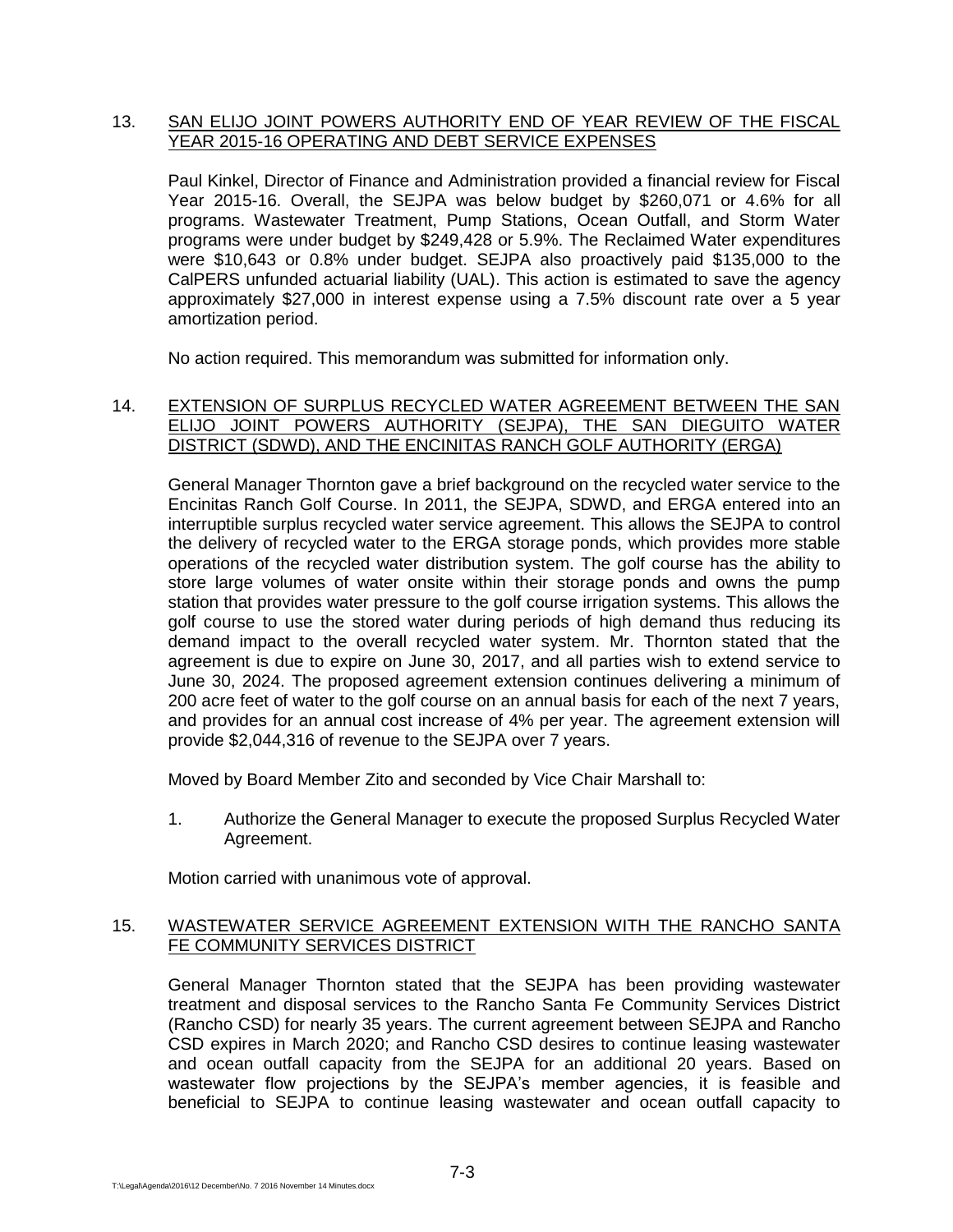### 13. SAN ELIJO JOINT POWERS AUTHORITY END OF YEAR REVIEW OF THE FISCAL YEAR 2015-16 OPERATING AND DEBT SERVICE EXPENSES

Paul Kinkel, Director of Finance and Administration provided a financial review for Fiscal Year 2015-16. Overall, the SEJPA was below budget by \$260,071 or 4.6% for all programs. Wastewater Treatment, Pump Stations, Ocean Outfall, and Storm Water programs were under budget by \$249,428 or 5.9%. The Reclaimed Water expenditures were \$10,643 or 0.8% under budget. SEJPA also proactively paid \$135,000 to the CalPERS unfunded actuarial liability (UAL). This action is estimated to save the agency approximately \$27,000 in interest expense using a 7.5% discount rate over a 5 year amortization period.

No action required. This memorandum was submitted for information only.

## 14. EXTENSION OF SURPLUS RECYCLED WATER AGREEMENT BETWEEN THE SAN ELIJO JOINT POWERS AUTHORITY (SEJPA), THE SAN DIEGUITO WATER DISTRICT (SDWD), AND THE ENCINITAS RANCH GOLF AUTHORITY (ERGA)

General Manager Thornton gave a brief background on the recycled water service to the Encinitas Ranch Golf Course. In 2011, the SEJPA, SDWD, and ERGA entered into an interruptible surplus recycled water service agreement. This allows the SEJPA to control the delivery of recycled water to the ERGA storage ponds, which provides more stable operations of the recycled water distribution system. The golf course has the ability to store large volumes of water onsite within their storage ponds and owns the pump station that provides water pressure to the golf course irrigation systems. This allows the golf course to use the stored water during periods of high demand thus reducing its demand impact to the overall recycled water system. Mr. Thornton stated that the agreement is due to expire on June 30, 2017, and all parties wish to extend service to June 30, 2024. The proposed agreement extension continues delivering a minimum of 200 acre feet of water to the golf course on an annual basis for each of the next 7 years, and provides for an annual cost increase of 4% per year. The agreement extension will provide \$2,044,316 of revenue to the SEJPA over 7 years.

Moved by Board Member Zito and seconded by Vice Chair Marshall to:

1. Authorize the General Manager to execute the proposed Surplus Recycled Water Agreement.

Motion carried with unanimous vote of approval.

## 15. WASTEWATER SERVICE AGREEMENT EXTENSION WITH THE RANCHO SANTA FE COMMUNITY SERVICES DISTRICT

General Manager Thornton stated that the SEJPA has been providing wastewater treatment and disposal services to the Rancho Santa Fe Community Services District (Rancho CSD) for nearly 35 years. The current agreement between SEJPA and Rancho CSD expires in March 2020; and Rancho CSD desires to continue leasing wastewater and ocean outfall capacity from the SEJPA for an additional 20 years. Based on wastewater flow projections by the SEJPA's member agencies, it is feasible and beneficial to SEJPA to continue leasing wastewater and ocean outfall capacity to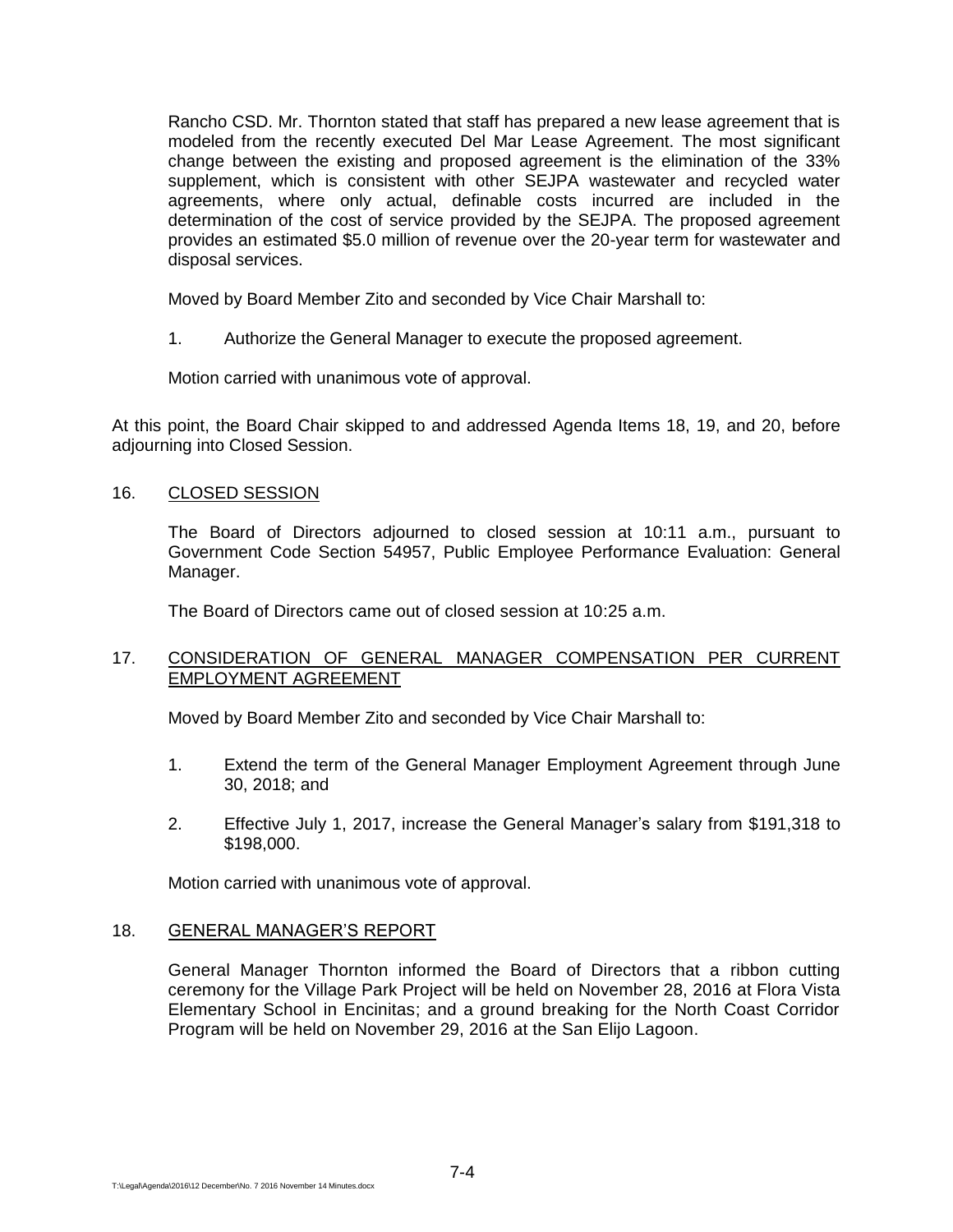Rancho CSD. Mr. Thornton stated that staff has prepared a new lease agreement that is modeled from the recently executed Del Mar Lease Agreement. The most significant change between the existing and proposed agreement is the elimination of the 33% supplement, which is consistent with other SEJPA wastewater and recycled water agreements, where only actual, definable costs incurred are included in the determination of the cost of service provided by the SEJPA. The proposed agreement provides an estimated \$5.0 million of revenue over the 20-year term for wastewater and disposal services.

Moved by Board Member Zito and seconded by Vice Chair Marshall to:

1. Authorize the General Manager to execute the proposed agreement.

Motion carried with unanimous vote of approval.

At this point, the Board Chair skipped to and addressed Agenda Items 18, 19, and 20, before adjourning into Closed Session.

## 16. CLOSED SESSION

The Board of Directors adjourned to closed session at 10:11 a.m., pursuant to Government Code Section 54957, Public Employee Performance Evaluation: General Manager.

The Board of Directors came out of closed session at 10:25 a.m.

## 17. CONSIDERATION OF GENERAL MANAGER COMPENSATION PER CURRENT EMPLOYMENT AGREEMENT

Moved by Board Member Zito and seconded by Vice Chair Marshall to:

- 1. Extend the term of the General Manager Employment Agreement through June 30, 2018; and
- 2. Effective July 1, 2017, increase the General Manager's salary from \$191,318 to \$198,000.

Motion carried with unanimous vote of approval.

#### 18. GENERAL MANAGER'S REPORT

General Manager Thornton informed the Board of Directors that a ribbon cutting ceremony for the Village Park Project will be held on November 28, 2016 at Flora Vista Elementary School in Encinitas; and a ground breaking for the North Coast Corridor Program will be held on November 29, 2016 at the San Elijo Lagoon.